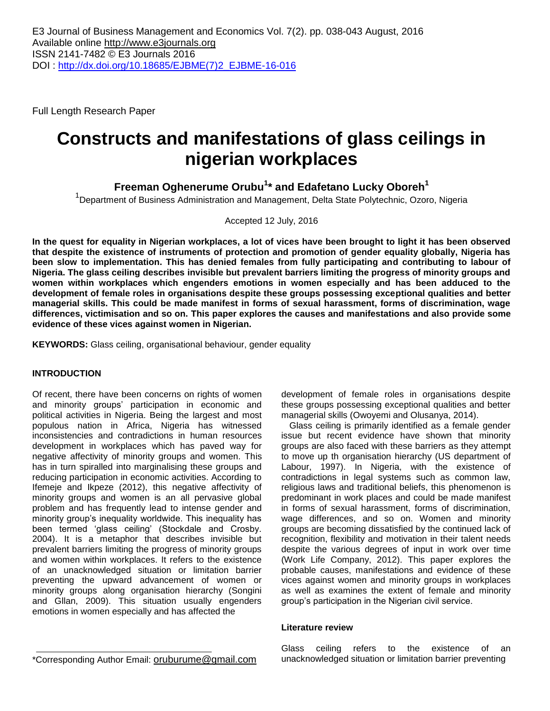Full Length Research Paper

# **Constructs and manifestations of glass ceilings in nigerian workplaces**

**Freeman Oghenerume Orubu<sup>1</sup> \* and Edafetano Lucky Oboreh<sup>1</sup>**

<sup>1</sup>Department of Business Administration and Management, Delta State Polytechnic, Ozoro, Nigeria

Accepted 12 July, 2016

**In the quest for equality in Nigerian workplaces, a lot of vices have been brought to light it has been observed that despite the existence of instruments of protection and promotion of gender equality globally, Nigeria has been slow to implementation. This has denied females from fully participating and contributing to labour of Nigeria. The glass ceiling describes invisible but prevalent barriers limiting the progress of minority groups and women within workplaces which engenders emotions in women especially and has been adduced to the development of female roles in organisations despite these groups possessing exceptional qualities and better managerial skills. This could be made manifest in forms of sexual harassment, forms of discrimination, wage differences, victimisation and so on. This paper explores the causes and manifestations and also provide some evidence of these vices against women in Nigerian.**

**KEYWORDS:** Glass ceiling, organisational behaviour, gender equality

# **INTRODUCTION**

Of recent, there have been concerns on rights of women and minority groups' participation in economic and political activities in Nigeria. Being the largest and most populous nation in Africa, Nigeria has witnessed inconsistencies and contradictions in human resources development in workplaces which has paved way for negative affectivity of minority groups and women. This has in turn spiralled into marginalising these groups and reducing participation in economic activities. According to Ifemeje and Ikpeze (2012), this negative affectivity of minority groups and women is an all pervasive global problem and has frequently lead to intense gender and minority group's inequality worldwide. This inequality has been termed 'glass ceiling' (Stockdale and Crosby. 2004). It is a metaphor that describes invisible but prevalent barriers limiting the progress of minority groups and women within workplaces. It refers to the existence of an unacknowledged situation or limitation barrier preventing the upward advancement of women or minority groups along organisation hierarchy (Songini and Gllan, 2009). This situation usually engenders emotions in women especially and has affected the

development of female roles in organisations despite these groups possessing exceptional qualities and better managerial skills (Owoyemi and Olusanya, 2014).

Glass ceiling is primarily identified as a female gender issue but recent evidence have shown that minority groups are also faced with these barriers as they attempt to move up th organisation hierarchy (US department of Labour, 1997). In Nigeria, with the existence of contradictions in legal systems such as common law, religious laws and traditional beliefs, this phenomenon is predominant in work places and could be made manifest in forms of sexual harassment, forms of discrimination, wage differences, and so on. Women and minority groups are becoming dissatisfied by the continued lack of recognition, flexibility and motivation in their talent needs despite the various degrees of input in work over time (Work Life Company, 2012). This paper explores the probable causes, manifestations and evidence of these vices against women and minority groups in workplaces as well as examines the extent of female and minority group's participation in the Nigerian civil service.

## **Literature review**

Glass ceiling refers to the existence of an unacknowledged situation or limitation barrier preventing

\*Corresponding Author Email: [oruburume@gmail.com](mailto:oruburume@gmail.com)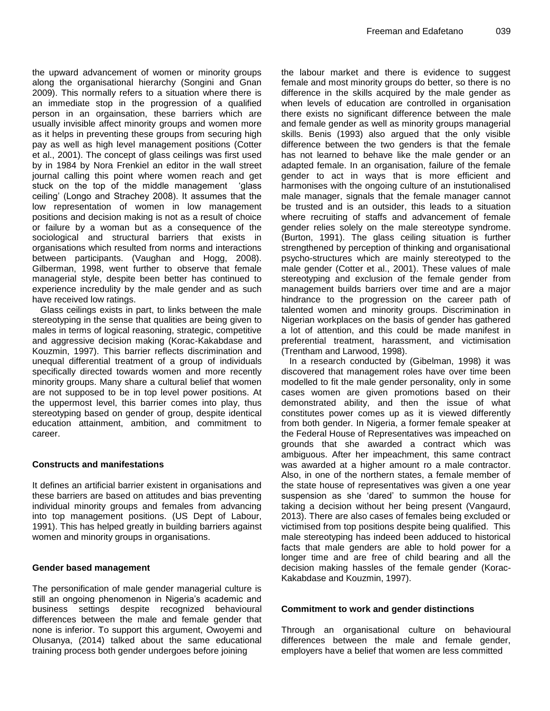the upward advancement of women or minority groups along the organisational hierarchy (Songini and Gnan 2009). This normally refers to a situation where there is an immediate stop in the progression of a qualified person in an orgainsation, these barriers which are usually invisible affect minority groups and women more as it helps in preventing these groups from securing high pay as well as high level management positions (Cotter et al., 2001). The concept of glass ceilings was first used by in 1984 by Nora Frenkiel an editor in the wall street journal calling this point where women reach and get stuck on the top of the middle management 'glass ceiling' (Longo and Strachey 2008). It assumes that the low representation of women in low management positions and decision making is not as a result of choice or failure by a woman but as a consequence of the sociological and structural barriers that exists in organisations which resulted from norms and interactions between participants. (Vaughan and Hogg, 2008). Gilberman, 1998, went further to observe that female managerial style, despite been better has continued to experience incredulity by the male gender and as such have received low ratings.

Glass ceilings exists in part, to links between the male stereotyping in the sense that qualities are being given to males in terms of logical reasoning, strategic, competitive and aggressive decision making (Korac-Kakabdase and Kouzmin, 1997). This barrier reflects discrimination and unequal differential treatment of a group of individuals specifically directed towards women and more recently minority groups. Many share a cultural belief that women are not supposed to be in top level power positions. At the uppermost level, this barrier comes into play, thus stereotyping based on gender of group, despite identical education attainment, ambition, and commitment to career.

## **Constructs and manifestations**

It defines an artificial barrier existent in organisations and these barriers are based on attitudes and bias preventing individual minority groups and females from advancing into top management positions. (US Dept of Labour, 1991). This has helped greatly in building barriers against women and minority groups in organisations.

#### **Gender based management**

The personification of male gender managerial culture is still an ongoing phenomenon in Nigeria's academic and business settings despite recognized behavioural differences between the male and female gender that none is inferior. To support this argument, Owoyemi and Olusanya, (2014) talked about the same educational training process both gender undergoes before joining

the labour market and there is evidence to suggest female and most minority groups do better, so there is no difference in the skills acquired by the male gender as when levels of education are controlled in organisation there exists no significant difference between the male and female gender as well as minority groups managerial skills. Benis (1993) also argued that the only visible difference between the two genders is that the female has not learned to behave like the male gender or an adapted female. In an organisation, failure of the female gender to act in ways that is more efficient and harmonises with the ongoing culture of an instutionalised male manager, signals that the female manager cannot be trusted and is an outsider, this leads to a situation where recruiting of staffs and advancement of female gender relies solely on the male stereotype syndrome. (Burton, 1991). The glass ceiling situation is further strengthened by perception of thinking and organisational psycho-structures which are mainly stereotyped to the male gender (Cotter et al., 2001). These values of male stereotyping and exclusion of the female gender from management builds barriers over time and are a major hindrance to the progression on the career path of talented women and minority groups. Discrimination in Nigerian workplaces on the basis of gender has gathered a lot of attention, and this could be made manifest in preferential treatment, harassment, and victimisation (Trentham and Larwood, 1998).

In a research conducted by (Gibelman, 1998) it was discovered that management roles have over time been modelled to fit the male gender personality, only in some cases women are given promotions based on their demonstrated ability, and then the issue of what constitutes power comes up as it is viewed differently from both gender. In Nigeria, a former female speaker at the Federal House of Representatives was impeached on grounds that she awarded a contract which was ambiguous. After her impeachment, this same contract was awarded at a higher amount ro a male contractor. Also, in one of the northern states, a female member of the state house of representatives was given a one year suspension as she 'dared' to summon the house for taking a decision without her being present (Vangaurd, 2013). There are also cases of females being excluded or victimised from top positions despite being qualified. This male stereotyping has indeed been adduced to historical facts that male genders are able to hold power for a longer time and are free of child bearing and all the decision making hassles of the female gender (Korac-Kakabdase and Kouzmin, 1997).

#### **Commitment to work and gender distinctions**

Through an organisational culture on behavioural differences between the male and female gender, employers have a belief that women are less committed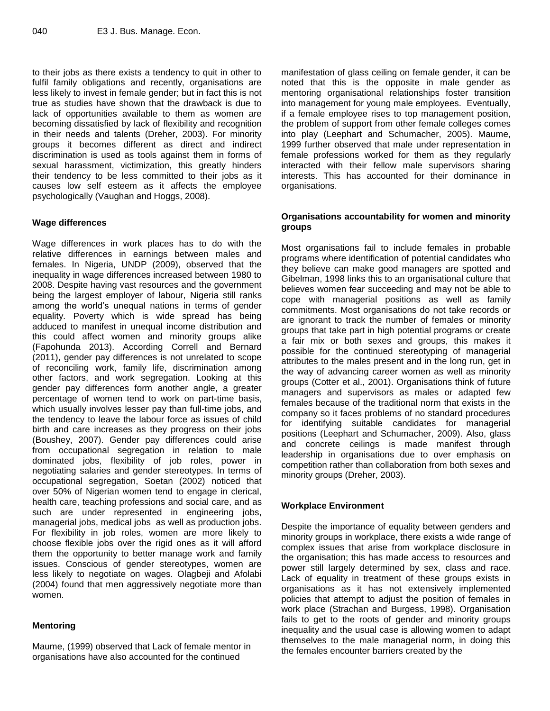to their jobs as there exists a tendency to quit in other to fulfil family obligations and recently, organisations are less likely to invest in female gender; but in fact this is not true as studies have shown that the drawback is due to lack of opportunities available to them as women are becoming dissatisfied by lack of flexibility and recognition in their needs and talents (Dreher, 2003). For minority groups it becomes different as direct and indirect discrimination is used as tools against them in forms of sexual harassment, victimization, this greatly hinders their tendency to be less committed to their jobs as it causes low self esteem as it affects the employee psychologically (Vaughan and Hoggs, 2008).

## **Wage differences**

Wage differences in work places has to do with the relative differences in earnings between males and females. In Nigeria, UNDP (2009), observed that the inequality in wage differences increased between 1980 to 2008. Despite having vast resources and the government being the largest employer of labour, Nigeria still ranks among the world's unequal nations in terms of gender equality. Poverty which is wide spread has being adduced to manifest in unequal income distribution and this could affect women and minority groups alike (Fapohunda 2013). According Correll and Bernard (2011), gender pay differences is not unrelated to scope of reconciling work, family life, discrimination among other factors, and work segregation. Looking at this gender pay differences form another angle, a greater percentage of women tend to work on part-time basis, which usually involves lesser pay than full-time jobs, and the tendency to leave the labour force as issues of child birth and care increases as they progress on their jobs (Boushey, 2007). Gender pay differences could arise from occupational segregation in relation to male dominated jobs, flexibility of job roles, power in negotiating salaries and gender stereotypes. In terms of occupational segregation, Soetan (2002) noticed that over 50% of Nigerian women tend to engage in clerical, health care, teaching professions and social care, and as such are under represented in engineering jobs, managerial jobs, medical jobs as well as production jobs. For flexibility in job roles, women are more likely to choose flexible jobs over the rigid ones as it will afford them the opportunity to better manage work and family issues. Conscious of gender stereotypes, women are less likely to negotiate on wages. Olagbeji and Afolabi (2004) found that men aggressively negotiate more than women.

## **Mentoring**

Maume, (1999) observed that Lack of female mentor in organisations have also accounted for the continued

manifestation of glass ceiling on female gender, it can be noted that this is the opposite in male gender as mentoring organisational relationships foster transition into management for young male employees. Eventually, if a female employee rises to top management position, the problem of support from other female colleges comes into play (Leephart and Schumacher, 2005). Maume, 1999 further observed that male under representation in female professions worked for them as they regularly interacted with their fellow male supervisors sharing interests. This has accounted for their dominance in organisations.

## **Organisations accountability for women and minority groups**

Most organisations fail to include females in probable programs where identification of potential candidates who they believe can make good managers are spotted and Gibelman, 1998 links this to an organisational culture that believes women fear succeeding and may not be able to cope with managerial positions as well as family commitments. Most organisations do not take records or are ignorant to track the number of females or minority groups that take part in high potential programs or create a fair mix or both sexes and groups, this makes it possible for the continued stereotyping of managerial attributes to the males present and in the long run, get in the way of advancing career women as well as minority groups (Cotter et al., 2001). Organisations think of future managers and supervisors as males or adapted few females because of the traditional norm that exists in the company so it faces problems of no standard procedures for identifying suitable candidates for managerial positions (Leephart and Schumacher, 2009). Also, glass and concrete ceilings is made manifest through leadership in organisations due to over emphasis on competition rather than collaboration from both sexes and minority groups (Dreher, 2003).

## **Workplace Environment**

Despite the importance of equality between genders and minority groups in workplace, there exists a wide range of complex issues that arise from workplace disclosure in the organisation; this has made access to resources and power still largely determined by sex, class and race. Lack of equality in treatment of these groups exists in organisations as it has not extensively implemented policies that attempt to adjust the position of females in work place (Strachan and Burgess, 1998). Organisation fails to get to the roots of gender and minority groups inequality and the usual case is allowing women to adapt themselves to the male managerial norm, in doing this the females encounter barriers created by the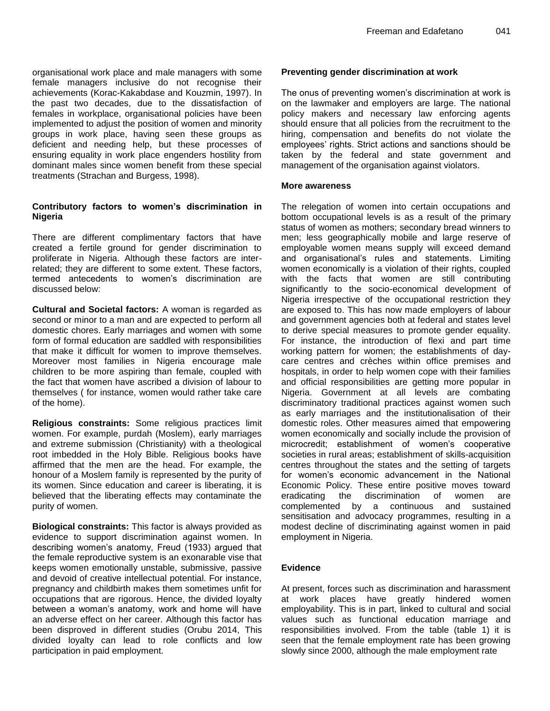organisational work place and male managers with some female managers inclusive do not recognise their achievements (Korac-Kakabdase and Kouzmin, 1997). In the past two decades, due to the dissatisfaction of females in workplace, organisational policies have been implemented to adjust the position of women and minority groups in work place, having seen these groups as deficient and needing help, but these processes of ensuring equality in work place engenders hostility from dominant males since women benefit from these special treatments (Strachan and Burgess, 1998).

# **Contributory factors to women's discrimination in Nigeria**

There are different complimentary factors that have created a fertile ground for gender discrimination to proliferate in Nigeria. Although these factors are interrelated; they are different to some extent. These factors, termed antecedents to women's discrimination are discussed below:

**Cultural and Societal factors:** A woman is regarded as second or minor to a man and are expected to perform all domestic chores. Early marriages and women with some form of formal education are saddled with responsibilities that make it difficult for women to improve themselves. Moreover most families in Nigeria encourage male children to be more aspiring than female, coupled with the fact that women have ascribed a division of labour to themselves ( for instance, women would rather take care of the home).

**Religious constraints:** Some religious practices limit women. For example, purdah (Moslem), early marriages and extreme submission (Christianity) with a theological root imbedded in the Holy Bible. Religious books have affirmed that the men are the head. For example, the honour of a Moslem family is represented by the purity of its women. Since education and career is liberating, it is believed that the liberating effects may contaminate the purity of women.

**Biological constraints:** This factor is always provided as evidence to support discrimination against women. In describing women's anatomy, Freud (1933) argued that the female reproductive system is an exonarable vise that keeps women emotionally unstable, submissive, passive and devoid of creative intellectual potential. For instance, pregnancy and childbirth makes them sometimes unfit for occupations that are rigorous. Hence, the divided loyalty between a woman's anatomy, work and home will have an adverse effect on her career. Although this factor has been disproved in different studies (Orubu 2014, This divided loyalty can lead to role conflicts and low participation in paid employment.

# **Preventing gender discrimination at work**

The onus of preventing women's discrimination at work is on the lawmaker and employers are large. The national policy makers and necessary law enforcing agents should ensure that all policies from the recruitment to the hiring, compensation and benefits do not violate the employees' rights. Strict actions and sanctions should be taken by the federal and state government and management of the organisation against violators.

#### **More awareness**

The relegation of women into certain occupations and bottom occupational levels is as a result of the primary status of women as mothers; secondary bread winners to men; less geographically mobile and large reserve of employable women means supply will exceed demand and organisational's rules and statements. Limiting women economically is a violation of their rights, coupled with the facts that women are still contributing significantly to the socio-economical development of Nigeria irrespective of the occupational restriction they are exposed to. This has now made employers of labour and government agencies both at federal and states level to derive special measures to promote gender equality. For instance, the introduction of flexi and part time working pattern for women; the establishments of daycare centres and crèches within office premises and hospitals, in order to help women cope with their families and official responsibilities are getting more popular in Nigeria. Government at all levels are combating discriminatory traditional practices against women such as early marriages and the institutionalisation of their domestic roles. Other measures aimed that empowering women economically and socially include the provision of microcredit; establishment of women's cooperative societies in rural areas; establishment of skills-acquisition centres throughout the states and the setting of targets for women's economic advancement in the National Economic Policy. These entire positive moves toward eradicating the discrimination of women are complemented by a continuous and sustained sensitisation and advocacy programmes, resulting in a modest decline of discriminating against women in paid employment in Nigeria.

## **Evidence**

At present, forces such as discrimination and harassment at work places have greatly hindered women employability. This is in part, linked to cultural and social values such as functional education marriage and responsibilities involved. From the table (table 1) it is seen that the female employment rate has been growing slowly since 2000, although the male employment rate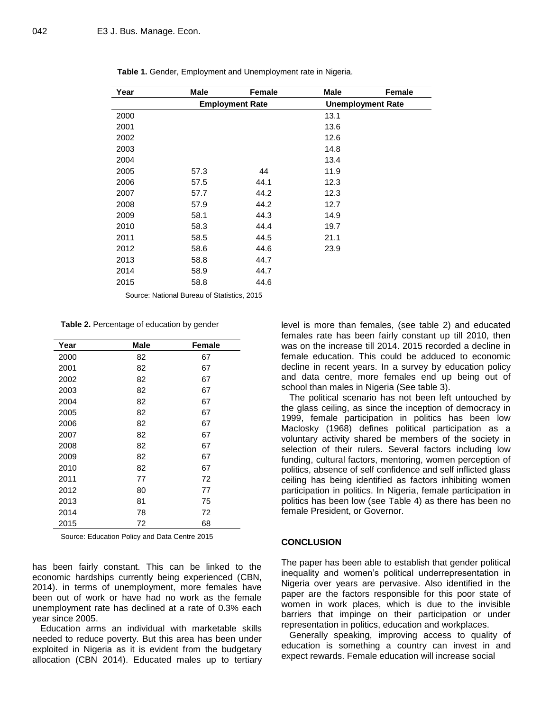| Year | <b>Male</b> | Female                 | <b>Male</b> | <b>Female</b>            |
|------|-------------|------------------------|-------------|--------------------------|
|      |             | <b>Employment Rate</b> |             | <b>Unemployment Rate</b> |
| 2000 |             |                        | 13.1        |                          |
| 2001 |             |                        | 13.6        |                          |
| 2002 |             |                        | 12.6        |                          |
| 2003 |             |                        | 14.8        |                          |
| 2004 |             |                        | 13.4        |                          |
| 2005 | 57.3        | 44                     | 11.9        |                          |
| 2006 | 57.5        | 44.1                   | 12.3        |                          |
| 2007 | 57.7        | 44.2                   | 12.3        |                          |
| 2008 | 57.9        | 44.2                   | 12.7        |                          |
| 2009 | 58.1        | 44.3                   | 14.9        |                          |
| 2010 | 58.3        | 44.4                   | 19.7        |                          |
| 2011 | 58.5        | 44.5                   | 21.1        |                          |
| 2012 | 58.6        | 44.6                   | 23.9        |                          |
| 2013 | 58.8        | 44.7                   |             |                          |
| 2014 | 58.9        | 44.7                   |             |                          |
| 2015 | 58.8        | 44.6                   |             |                          |

|  |  | Table 1. Gender, Employment and Unemployment rate in Nigeria. |  |
|--|--|---------------------------------------------------------------|--|
|--|--|---------------------------------------------------------------|--|

Source: National Bureau of Statistics, 2015

**Table 2.** Percentage of education by gender

| Year | <b>Male</b> | <b>Female</b> |
|------|-------------|---------------|
| 2000 | 82          | 67            |
| 2001 | 82          | 67            |
| 2002 | 82          | 67            |
| 2003 | 82          | 67            |
| 2004 | 82          | 67            |
| 2005 | 82          | 67            |
| 2006 | 82          | 67            |
| 2007 | 82          | 67            |
| 2008 | 82          | 67            |
| 2009 | 82          | 67            |
| 2010 | 82          | 67            |
| 2011 | 77          | 72            |
| 2012 | 80          | 77            |
| 2013 | 81          | 75            |
| 2014 | 78          | 72            |
| 2015 | 72          | 68            |

Source: Education Policy and Data Centre 2015

has been fairly constant. This can be linked to the economic hardships currently being experienced (CBN, 2014). in terms of unemployment, more females have been out of work or have had no work as the female unemployment rate has declined at a rate of 0.3% each year since 2005.

Education arms an individual with marketable skills needed to reduce poverty. But this area has been under exploited in Nigeria as it is evident from the budgetary allocation (CBN 2014). Educated males up to tertiary level is more than females, (see table 2) and educated females rate has been fairly constant up till 2010, then was on the increase till 2014. 2015 recorded a decline in female education. This could be adduced to economic decline in recent years. In a survey by education policy and data centre, more females end up being out of school than males in Nigeria (See table 3).

The political scenario has not been left untouched by the glass ceiling, as since the inception of democracy in 1999, female participation in politics has been low Maclosky (1968) defines political participation as a voluntary activity shared be members of the society in selection of their rulers. Several factors including low funding, cultural factors, mentoring, women perception of politics, absence of self confidence and self inflicted glass ceiling has being identified as factors inhibiting women participation in politics. In Nigeria, female participation in politics has been low (see Table 4) as there has been no female President, or Governor.

#### **CONCLUSION**

The paper has been able to establish that gender political inequality and women's political underrepresentation in Nigeria over years are pervasive. Also identified in the paper are the factors responsible for this poor state of women in work places, which is due to the invisible barriers that impinge on their participation or under representation in politics, education and workplaces.

Generally speaking, improving access to quality of education is something a country can invest in and expect rewards. Female education will increase social